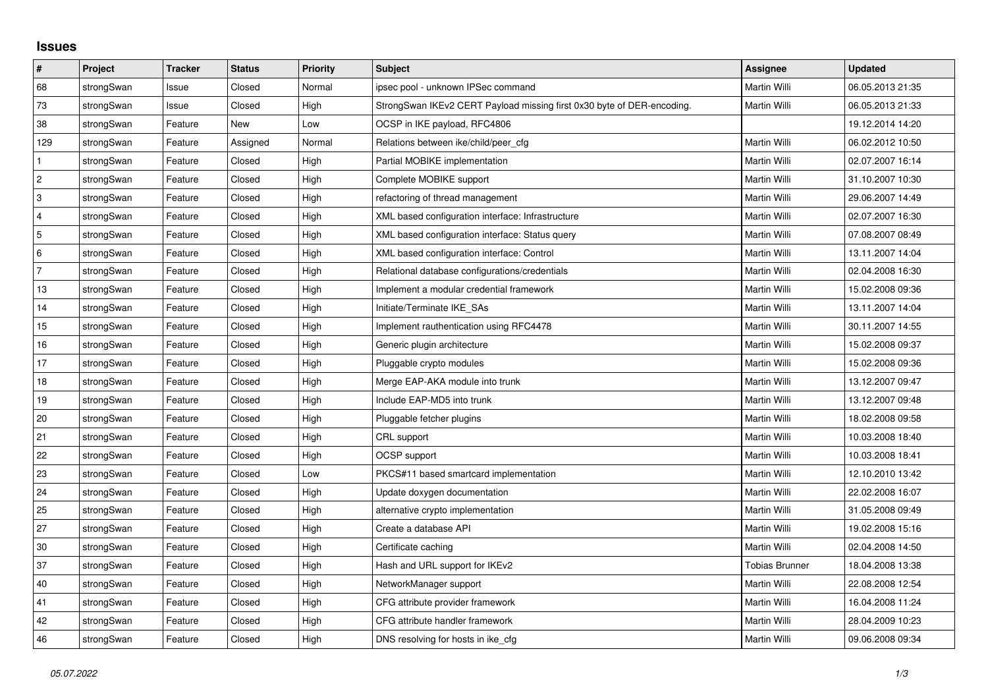## **Issues**

| #              | Project    | <b>Tracker</b> | <b>Status</b> | <b>Priority</b> | <b>Subject</b>                                                         | <b>Assignee</b>       | <b>Updated</b>   |
|----------------|------------|----------------|---------------|-----------------|------------------------------------------------------------------------|-----------------------|------------------|
| 68             | strongSwan | Issue          | Closed        | Normal          | ipsec pool - unknown IPSec command                                     | <b>Martin Willi</b>   | 06.05.2013 21:35 |
| 73             | strongSwan | Issue          | Closed        | High            | StrongSwan IKEv2 CERT Payload missing first 0x30 byte of DER-encoding. | Martin Willi          | 06.05.2013 21:33 |
| 38             | strongSwan | Feature        | <b>New</b>    | Low             | OCSP in IKE payload, RFC4806                                           |                       | 19.12.2014 14:20 |
| 129            | strongSwan | Feature        | Assigned      | Normal          | Relations between ike/child/peer cfg                                   | Martin Willi          | 06.02.2012 10:50 |
| $\mathbf{1}$   | strongSwan | Feature        | Closed        | High            | Partial MOBIKE implementation                                          | Martin Willi          | 02.07.2007 16:14 |
| $\overline{c}$ | strongSwan | Feature        | Closed        | High            | Complete MOBIKE support                                                | Martin Willi          | 31.10.2007 10:30 |
| 3              | strongSwan | Feature        | Closed        | High            | refactoring of thread management                                       | Martin Willi          | 29.06.2007 14:49 |
| $\overline{4}$ | strongSwan | Feature        | Closed        | High            | XML based configuration interface: Infrastructure                      | Martin Willi          | 02.07.2007 16:30 |
| 5              | strongSwan | Feature        | Closed        | High            | XML based configuration interface: Status query                        | Martin Willi          | 07.08.2007 08:49 |
| 6              | strongSwan | Feature        | Closed        | High            | XML based configuration interface: Control                             | Martin Willi          | 13.11.2007 14:04 |
| $\overline{7}$ | strongSwan | Feature        | Closed        | High            | Relational database configurations/credentials                         | Martin Willi          | 02.04.2008 16:30 |
| 13             | strongSwan | Feature        | Closed        | High            | Implement a modular credential framework                               | Martin Willi          | 15.02.2008 09:36 |
| 14             | strongSwan | Feature        | Closed        | High            | Initiate/Terminate IKE SAs                                             | Martin Willi          | 13.11.2007 14:04 |
| 15             | strongSwan | Feature        | Closed        | High            | Implement rauthentication using RFC4478                                | Martin Willi          | 30.11.2007 14:55 |
| 16             | strongSwan | Feature        | Closed        | High            | Generic plugin architecture                                            | Martin Willi          | 15.02.2008 09:37 |
| 17             | strongSwan | Feature        | Closed        | High            | Pluggable crypto modules                                               | Martin Willi          | 15.02.2008 09:36 |
| $18$           | strongSwan | Feature        | Closed        | High            | Merge EAP-AKA module into trunk                                        | Martin Willi          | 13.12.2007 09:47 |
| 19             | strongSwan | Feature        | Closed        | High            | Include EAP-MD5 into trunk                                             | Martin Willi          | 13.12.2007 09:48 |
| 20             | strongSwan | Feature        | Closed        | High            | Pluggable fetcher plugins                                              | Martin Willi          | 18.02.2008 09:58 |
| 21             | strongSwan | Feature        | Closed        | High            | CRL support                                                            | Martin Willi          | 10.03.2008 18:40 |
| 22             | strongSwan | Feature        | Closed        | High            | <b>OCSP</b> support                                                    | Martin Willi          | 10.03.2008 18:41 |
| 23             | strongSwan | Feature        | Closed        | Low             | PKCS#11 based smartcard implementation                                 | Martin Willi          | 12.10.2010 13:42 |
| $ 24\rangle$   | strongSwan | Feature        | Closed        | High            | Update doxygen documentation                                           | Martin Willi          | 22.02.2008 16:07 |
| 25             | strongSwan | Feature        | Closed        | High            | alternative crypto implementation                                      | Martin Willi          | 31.05.2008 09:49 |
| 27             | strongSwan | Feature        | Closed        | High            | Create a database API                                                  | Martin Willi          | 19.02.2008 15:16 |
| 30             | strongSwan | Feature        | Closed        | High            | Certificate caching                                                    | Martin Willi          | 02.04.2008 14:50 |
| 37             | strongSwan | Feature        | Closed        | High            | Hash and URL support for IKEv2                                         | <b>Tobias Brunner</b> | 18.04.2008 13:38 |
| $40\,$         | strongSwan | Feature        | Closed        | High            | NetworkManager support                                                 | Martin Willi          | 22.08.2008 12:54 |
| 41             | strongSwan | Feature        | Closed        | High            | CFG attribute provider framework                                       | Martin Willi          | 16.04.2008 11:24 |
| 42             | strongSwan | Feature        | Closed        | High            | CFG attribute handler framework                                        | Martin Willi          | 28.04.2009 10:23 |
| 46             | strongSwan | Feature        | Closed        | High            | DNS resolving for hosts in ike_cfg                                     | Martin Willi          | 09.06.2008 09:34 |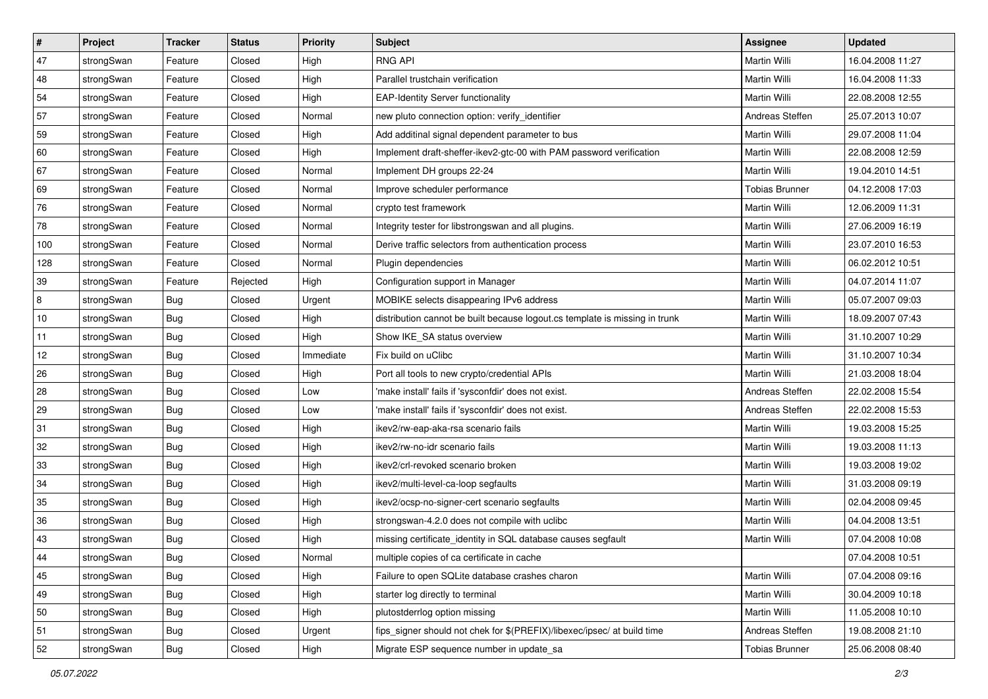| $\vert$ # | Project    | <b>Tracker</b> | <b>Status</b> | <b>Priority</b> | <b>Subject</b>                                                              | Assignee              | <b>Updated</b>   |
|-----------|------------|----------------|---------------|-----------------|-----------------------------------------------------------------------------|-----------------------|------------------|
| 47        | strongSwan | Feature        | Closed        | High            | <b>RNG API</b>                                                              | Martin Willi          | 16.04.2008 11:27 |
| 48        | strongSwan | Feature        | Closed        | High            | Parallel trustchain verification                                            | <b>Martin Willi</b>   | 16.04.2008 11:33 |
| 54        | strongSwan | Feature        | Closed        | High            | <b>EAP-Identity Server functionality</b>                                    | Martin Willi          | 22.08.2008 12:55 |
| 57        | strongSwan | Feature        | Closed        | Normal          | new pluto connection option: verify identifier                              | Andreas Steffen       | 25.07.2013 10:07 |
| 59        | strongSwan | Feature        | Closed        | High            | Add additinal signal dependent parameter to bus                             | Martin Willi          | 29.07.2008 11:04 |
| 60        | strongSwan | Feature        | Closed        | High            | Implement draft-sheffer-ikev2-gtc-00 with PAM password verification         | Martin Willi          | 22.08.2008 12:59 |
| 67        | strongSwan | Feature        | Closed        | Normal          | Implement DH groups 22-24                                                   | Martin Willi          | 19.04.2010 14:51 |
| 69        | strongSwan | Feature        | Closed        | Normal          | Improve scheduler performance                                               | <b>Tobias Brunner</b> | 04.12.2008 17:03 |
| 76        | strongSwan | Feature        | Closed        | Normal          | crypto test framework                                                       | Martin Willi          | 12.06.2009 11:31 |
| 78        | strongSwan | Feature        | Closed        | Normal          | Integrity tester for libstrongswan and all plugins.                         | Martin Willi          | 27.06.2009 16:19 |
| 100       | strongSwan | Feature        | Closed        | Normal          | Derive traffic selectors from authentication process                        | Martin Willi          | 23.07.2010 16:53 |
| 128       | strongSwan | Feature        | Closed        | Normal          | Plugin dependencies                                                         | Martin Willi          | 06.02.2012 10:51 |
| 39        | strongSwan | Feature        | Rejected      | High            | Configuration support in Manager                                            | <b>Martin Willi</b>   | 04.07.2014 11:07 |
| 8         | strongSwan | <b>Bug</b>     | Closed        | Urgent          | MOBIKE selects disappearing IPv6 address                                    | Martin Willi          | 05.07.2007 09:03 |
| 10        | strongSwan | Bug            | Closed        | High            | distribution cannot be built because logout.cs template is missing in trunk | Martin Willi          | 18.09.2007 07:43 |
| 11        | strongSwan | <b>Bug</b>     | Closed        | High            | Show IKE_SA status overview                                                 | Martin Willi          | 31.10.2007 10:29 |
| 12        | strongSwan | <b>Bug</b>     | Closed        | Immediate       | Fix build on uClibc                                                         | <b>Martin Willi</b>   | 31.10.2007 10:34 |
| 26        | strongSwan | Bug            | Closed        | High            | Port all tools to new crypto/credential APIs                                | <b>Martin Willi</b>   | 21.03.2008 18:04 |
| 28        | strongSwan | Bug            | Closed        | Low             | 'make install' fails if 'sysconfdir' does not exist.                        | Andreas Steffen       | 22.02.2008 15:54 |
| 29        | strongSwan | Bug            | Closed        | Low             | 'make install' fails if 'sysconfdir' does not exist.                        | Andreas Steffen       | 22.02.2008 15:53 |
| 31        | strongSwan | Bug            | Closed        | High            | ikev2/rw-eap-aka-rsa scenario fails                                         | Martin Willi          | 19.03.2008 15:25 |
| 32        | strongSwan | <b>Bug</b>     | Closed        | High            | ikev2/rw-no-idr scenario fails                                              | Martin Willi          | 19.03.2008 11:13 |
| 33        | strongSwan | Bug            | Closed        | High            | ikev2/crl-revoked scenario broken                                           | Martin Willi          | 19.03.2008 19:02 |
| 34        | strongSwan | Bug            | Closed        | High            | ikev2/multi-level-ca-loop segfaults                                         | Martin Willi          | 31.03.2008 09:19 |
| 35        | strongSwan | <b>Bug</b>     | Closed        | High            | ikev2/ocsp-no-signer-cert scenario segfaults                                | Martin Willi          | 02.04.2008 09:45 |
| 36        | strongSwan | Bug            | Closed        | High            | strongswan-4.2.0 does not compile with uclibc                               | Martin Willi          | 04.04.2008 13:51 |
| 43        | strongSwan | Bug            | Closed        | High            | missing certificate identity in SQL database causes segfault                | Martin Willi          | 07.04.2008 10:08 |
| 44        | strongSwan | Bug            | Closed        | Normal          | multiple copies of ca certificate in cache                                  |                       | 07.04.2008 10:51 |
| 45        | strongSwan | Bug            | Closed        | High            | Failure to open SQLite database crashes charon                              | Martin Willi          | 07.04.2008 09:16 |
| 49        | strongSwan | Bug            | Closed        | High            | starter log directly to terminal                                            | Martin Willi          | 30.04.2009 10:18 |
| 50        | strongSwan | Bug            | Closed        | High            | plutostderrlog option missing                                               | Martin Willi          | 11.05.2008 10:10 |
| 51        | strongSwan | Bug            | Closed        | Urgent          | fips signer should not chek for \$(PREFIX)/libexec/ipsec/ at build time     | Andreas Steffen       | 19.08.2008 21:10 |
| 52        | strongSwan | <b>Bug</b>     | Closed        | High            | Migrate ESP sequence number in update_sa                                    | <b>Tobias Brunner</b> | 25.06.2008 08:40 |